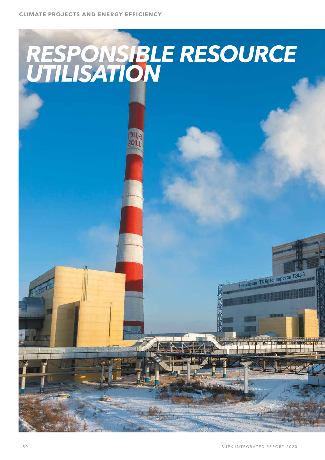# *RESPONSIBLE RESOURCE UTILISATION*

Енисейская ТГК Красноярская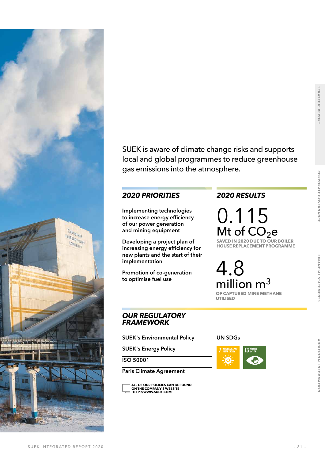

SUEK is aware of climate change risks and supports local and global programmes to reduce greenhouse gas emissions into the atmosphere.

## *2020 PRIORITIES 2020 RESULTS*

**Implementing technologies to increase energy efficiency of our power generation and mining equipment**

**Developing a project plan of increasing energy efficiency for new plants and the start of their implementation**

**Promotion of co-generation to optimise fuel use**

0.115  $Mt$  of  $CO<sub>2</sub>e$ 

**SAVED IN 2020 DUE TO OUR BOILER HOUSE REPLACEMENT PROGRAMME**

4.8 million m<sup>3</sup> **OF CAPTURED MINE METHANE UTILISED**

## *OUR REGULATORY FRAMEWORK*

**SUEK's Environmental Policy** 

**SUEK's Energy Policy**

**ISO 50001**

**Paris Climate Agreement**

**[ALL OF OUR POLICIES CAN BE FOUND](http://www.suek.com/about-us/corporate-governance/by-laws/)  ON THE COMPANY'S WEBSITE HTTP://WWW.SUEK.COM**

### **UN SDGs**



**STRATEGIC REPORT**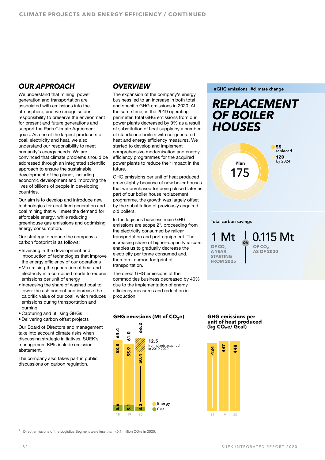## *OUR APPROACH*

We understand that mining, power generation and transportation are associated with emissions into the atmosphere, and we recognise our responsibility to preserve the environment for present and future generations and support the Paris Climate Agreement goals. As one of the largest producers of coal, electricity and heat, we also understand our responsibility to meet humanity's energy needs. We are convinced that climate problems should be addressed through an integrated scientific approach to ensure the sustainable development of the planet, including economic development and improving the lives of billions of people in developing countries.

Our aim is to develop and introduce new technologies for coal-fired generation and coal mining that will meet the demand for affordable energy, while reducing greenhouse gas emissions and optimising energy consumption.

Our strategy to reduce the company's carbon footprint is as follows:

- Investing in the development and introduction of technologies that improve the energy efficiency of our operations
- Maximising the generation of heat and electricity in a combined mode to reduce emissions per unit of energy
- Increasing the share of washed coal to lower the ash content and increase the calorific value of our coal, which reduces emissions during transportation and burning
- Capturing and utilising GHGs
- Delivering carbon offset projects

Our Board of Directors and management take into account climate risks when discussing strategic initiatives. SUEK's management KPIs include emission abatement.

The company also takes part in public discussions on carbon regulation.

## *OVERVIEW*

The expansion of the company's energy business led to an increase in both total and specific GHG emissions in 2020. At the same time, in the 2019 operating perimeter, total GHG emissions from our power plants decreased by 9% as a result of substitution of heat supply by a number of standalone boilers with co-generated heat and energy efficiency measures. We started to develop and implement comprehensive modernisation and energy efficiency programmes for the acquired power plants to reduce their impact in the future.

GHG emissions per unit of heat produced grew slightly because of new boiler houses that we purchased for being closed later as part of our boiler house replacement programme, the growth was largely offset by the substitution of previously acquired old boilers.

In the logistics business main GHG emissions are scope 21, proceeding from the electricity consumed by railcar transportation and port equipment. The increasing share of higher-capacity railcars enables us to gradually decrease the electricity per tonne consumed and, therefore, carbon footprint of transportation.

The direct GHG emissions of the commodities business decreased by 40% due to the implementation of energy efficiency measures and reduction in production.



**#GHG emissions | #climate change**



#### **Total carbon savings**

0.115 Mt **OF CO2 AS OF 2020 OR**  1 Mt OF CO<sub>2</sub> **A YEAR STARTING FROM 2025**

## **unit of heat produced (kg CO2e/ Gcal)**



Direct emissions of the Logistics Segment were less than <0.1 million CO<sub>2</sub>e in 2020.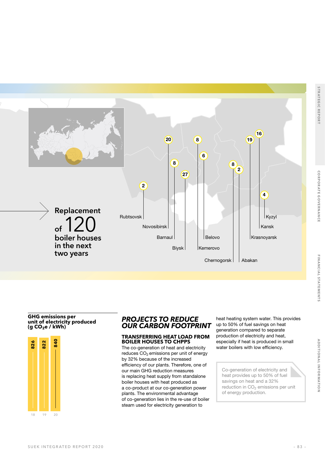**ADDITIONAL INFORMATION** 



#### **GHG emissions per unit of electricity produced (g CO2e / kWh)**



#### *PROJECTS TO REDUCE OUR CARBON FOOTPRINT*

#### **TRANSFERRING HEAT LOAD FROM BOILER HOUSES TO CHPPS**

The co-generation of heat and electricity reduces  $CO<sub>2</sub>$  emissions per unit of energy by 32% because of the increased efficiency of our plants. Therefore, one of our main GHG reduction measures is replacing heat supply from standalone boiler houses with heat produced as a co-product at our co-generation power plants. The environmental advantage of co-generation lies in the re-use of boiler steam used for electricity generation to

heat heating system water. This provides up to 50% of fuel savings on heat generation compared to separate production of electricity and heat, especially if heat is produced in small water boilers with low efficiency.

Co-generation of electricity and heat provides up to 50% of fuel savings on heat and a 32% reduction in  $CO<sub>2</sub>$  emissions per unit of energy production.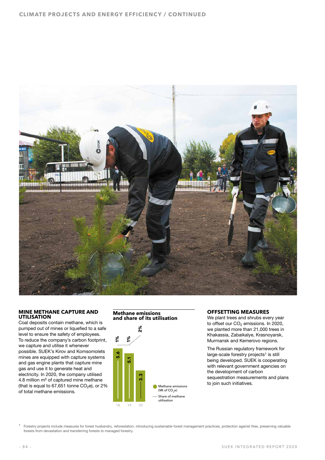

#### **MINE METHANE CAPTURE AND UTILISATION**

Coal deposits contain methane, which is pumped out of mines or liquefied to a safe level to ensure the safety of employees. To reduce the company's carbon footprint, we capture and utilise it whenever possible. SUEK's Kirov and Komsomolets mines are equipped with capture systems and gas engine plants that capture mine gas and use it to generate heat and electricity. In 2020, the company utilised 4.8 million  $m<sup>3</sup>$  of captured mine methane (that is equal to  $67,651$  tonne  $CO<sub>2</sub>e$ ), or 2% of total methane emissions.



#### **OFFSETTING MEASURES**

We plant trees and shrubs every year to offset our CO<sub>2</sub> emissions. In 2020, we planted more than 21,000 trees in Khakassia, Zabaikalye, Krasnoyarsk, Murmansk and Kemerovo regions.

The Russian regulatory framework for large-scale forestry projects<sup>1</sup> is still being developed. SUEK is cooperating with relevant government agencies on the development of carbon sequestration measurements and plans to join such initiatives.

<span id="page-4-0"></span>Forestry projects include measures for forest husbandry, reforestation, introducing sustainable forest management practices, protection against fires, preserving valuable forests from devastation and transferring forests to managed forestry.